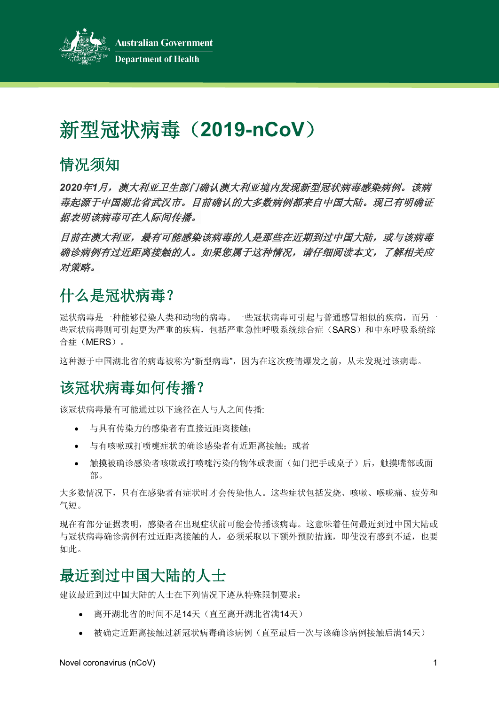

# 新型冠状病毒(**2019-nCoV**)

# 情况须知

*2020*年*1*月,澳大利亚卫生部门确认澳大利亚境内发现新型冠状病毒感染病例。该病 毒起源于中国湖北省武汉市。目前确认的大多数病例都来自中国大陆。现已有明确证 据表明该病毒可在人际间传播。

**目前在澳大利亚,最有可能感染该病毒的人是那些在近期到过中国大陆,或与该病毒** 确诊病例有过近距离接触的人。如果您属于这种情况,请仔细阅读本文,了解相关应 对策略。

# 什么是冠状病毒?

冠状病毒是一种能够侵染人类和动物的病毒。一些冠状病毒可引起与普通感冒相似的疾病,而另一 些冠状病毒则可引起更为严重的疾病,包括严重急性呼吸系统综合症(SARS)和中东呼吸系统综 合症(MERS)。

这种源于中国湖北省的病毒被称为"新型病毒",因为在这次疫情爆发之前,从未发现过该病毒。

# 该冠状病毒如何传播?

该冠状病毒最有可能通过以下途径在人与人之间传播:

- 与具有传染力的感染者有直接近距离接触;
- 与有咳嗽或打喷嚏症状的确诊感染者有近距离接触;或者
- 触摸被确诊感染者咳嗽或打喷嚏污染的物体或表面(如门把手或桌子)后,触摸嘴部或面 部。

大多数情况下,只有在感染者有症状时才会传染他人。这些症状包括发烧、咳嗽、喉咙痛、疲劳和 气短。

现在有部分证据表明,感染者在出现症状前可能会传播该病毒。这意味着任何最近到过中国大陆或 与冠状病毒确诊病例有过近距离接触的人,必须采取以下额外预防措施,即使没有感到不适,也要 如此。

# 最近到过中国大陆的人士

建议最近到过中国大陆的人士在下列情况下遵从特殊限制要求:

- 离开湖北省的时间不足14天(直至离开湖北省满14天)
- 被确定近距离接触过新冠状病毒确诊病例(直至最后一次与该确诊病例接触后满14天)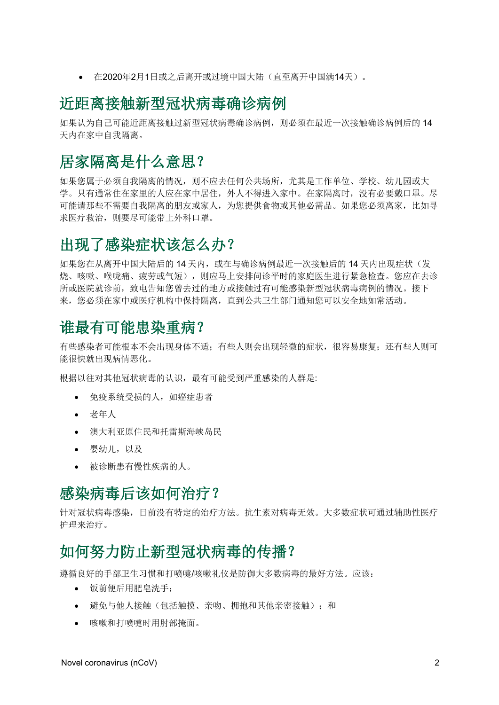• 在2020年2月1日或之后离开或过境中国大陆(直至离开中国满14天)。

#### 近距离接触新型冠状病毒确诊病例

如果认为自己可能近距离接触过新型冠状病毒确诊病例,则必须在最近一次接触确诊病例后的 14 天内在家中自我隔离。

#### 居家隔离是什么意思?

如果您属于必须自我隔离的情况,则不应去任何公共场所,尤其是工作单位、学校、幼儿园或大 学。只有通常住在家里的人应在家中居住,外人不得进入家中。在家隔离时,没有必要戴口罩。尽 可能请那些不需要自我隔离的朋友或家人,为您提供食物或其他必需品。如果您必须离家,比如寻 求医疗救治,则要尽可能带上外科口罩。

#### 出现了感染症状该怎么办?

如果您在从离开中国大陆后的14 天内,或在与确诊病例最近一次接触后的14 天内出现症状(发 烧、咳嗽、喉咙痛、疲劳或气短),则应马上安排问诊平时的家庭医生进行紧急检查。您应在去诊 所或医院就诊前,致电告知您曾去过的地方或接触过有可能感染新型冠状病毒病例的情况。接下 来, 您必须在家中或医疗机构中保持隔离, 直到公共卫生部门通知您可以安全地如常活动。

#### 谁最有可能患染重病?

有些感染者可能根本不会出现身体不适;有些人则会出现轻微的症状,很容易康复;还有些人则可 能很快就出现病情恶化。

根据以往对其他冠状病毒的认识,最有可能受到严重感染的人群是:

- 免疫系统受损的人,如癌症患者
- 老年人
- 澳大利亚原住民和托雷斯海峡岛民
- 婴幼儿,以及
- 被诊断患有慢性疾病的人。

## 感染病毒后该如何治疗?

针对冠状病毒感染,目前没有特定的治疗方法。抗生素对病毒无效。大多数症状可通过辅助性医疗 护理来治疗。

#### 如何努力防止新型冠状病毒的传播?

遵循良好的手部卫生习惯和打喷嚏/咳嗽礼仪是防御大多数病毒的最好方法。应该:

- 饭前便后用肥皂洗手;
- 避免与他人接触(包括触摸、亲吻、拥抱和其他亲密接触);和
- 咳嗽和打喷嚏时用肘部掩面。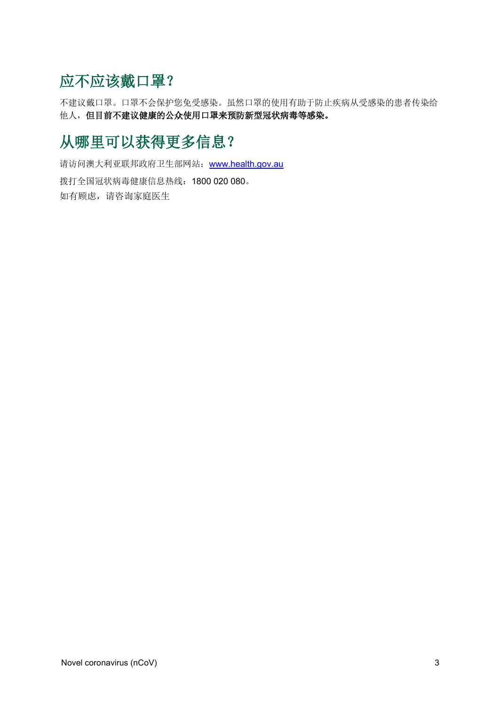# 应不应该戴口罩?

不建议戴口罩。口罩不会保护您免受感染。虽然口罩的使用有助于防止疾病从受感染的患者传染给 他人,但目前不建议健康的公众使用口罩来预防新型冠状病毒等感染。

# 从哪里可以获得更多信息?

请访问澳大利亚联邦政府卫生部网站: [www.health.gov.au](http://www.health.gov.au/) 拨打全国冠状病毒健康信息热线:1800 020 080。 如有顾虑,请咨询家庭医生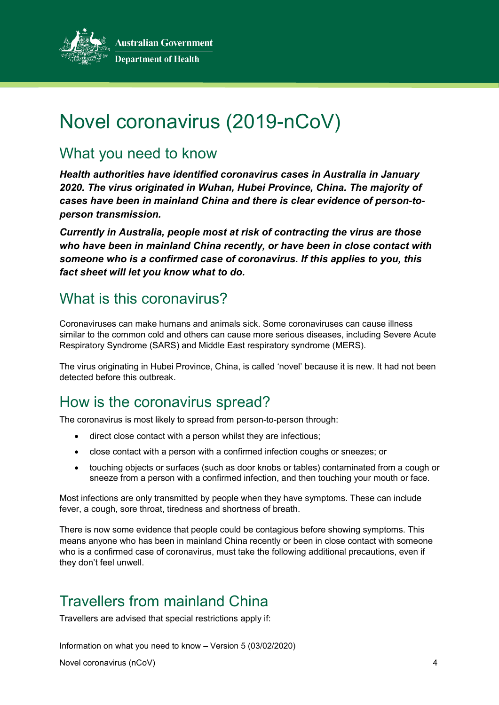

# Novel coronavirus (2019-nCoV)

## What you need to know

*Health authorities have identified coronavirus cases in Australia in January 2020. The virus originated in Wuhan, Hubei Province, China. The majority of cases have been in mainland China and there is clear evidence of person-toperson transmission.*

*Currently in Australia, people most at risk of contracting the virus are those who have been in mainland China recently, or have been in close contact with someone who is a confirmed case of coronavirus. If this applies to you, this fact sheet will let you know what to do.*

# What is this coronavirus?

Coronaviruses can make humans and animals sick. Some coronaviruses can cause illness similar to the common cold and others can cause more serious diseases, including Severe Acute Respiratory Syndrome (SARS) and Middle East respiratory syndrome (MERS).

The virus originating in Hubei Province, China, is called 'novel' because it is new. It had not been detected before this outbreak.

# How is the coronavirus spread?

The coronavirus is most likely to spread from person-to-person through:

- direct close contact with a person whilst they are infectious;
- close contact with a person with a confirmed infection coughs or sneezes; or
- touching objects or surfaces (such as door knobs or tables) contaminated from a cough or sneeze from a person with a confirmed infection, and then touching your mouth or face.

Most infections are only transmitted by people when they have symptoms. These can include fever, a cough, sore throat, tiredness and shortness of breath.

There is now some evidence that people could be contagious before showing symptoms. This means anyone who has been in mainland China recently or been in close contact with someone who is a confirmed case of coronavirus, must take the following additional precautions, even if they don't feel unwell.

# Travellers from mainland China

Travellers are advised that special restrictions apply if:

Information on what you need to know – Version 5 (03/02/2020)

Novel coronavirus (nCoV) 4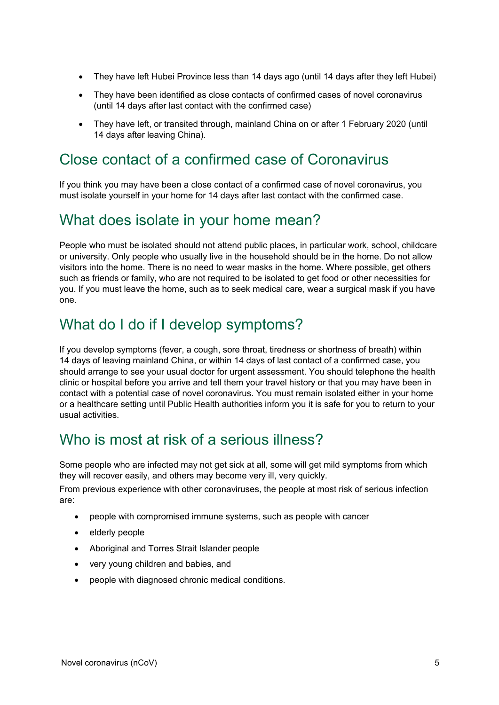- They have left Hubei Province less than 14 days ago (until 14 days after they left Hubei)
- They have been identified as close contacts of confirmed cases of novel coronavirus (until 14 days after last contact with the confirmed case)
- They have left, or transited through, mainland China on or after 1 February 2020 (until 14 days after leaving China).

## Close contact of a confirmed case of Coronavirus

If you think you may have been a close contact of a confirmed case of novel coronavirus, you must isolate yourself in your home for 14 days after last contact with the confirmed case.

#### What does isolate in your home mean?

People who must be isolated should not attend public places, in particular work, school, childcare or university. Only people who usually live in the household should be in the home. Do not allow visitors into the home. There is no need to wear masks in the home. Where possible, get others such as friends or family, who are not required to be isolated to get food or other necessities for you. If you must leave the home, such as to seek medical care, wear a surgical mask if you have one.

#### What do I do if I develop symptoms?

If you develop symptoms (fever, a cough, sore throat, tiredness or shortness of breath) within 14 days of leaving mainland China, or within 14 days of last contact of a confirmed case, you should arrange to see your usual doctor for urgent assessment. You should telephone the health clinic or hospital before you arrive and tell them your travel history or that you may have been in contact with a potential case of novel coronavirus. You must remain isolated either in your home or a healthcare setting until Public Health authorities inform you it is safe for you to return to your usual activities.

## Who is most at risk of a serious illness?

Some people who are infected may not get sick at all, some will get mild symptoms from which they will recover easily, and others may become very ill, very quickly.

From previous experience with other coronaviruses, the people at most risk of serious infection are:

- people with compromised immune systems, such as people with cancer
- elderly people
- Aboriginal and Torres Strait Islander people
- very young children and babies, and
- people with diagnosed chronic medical conditions.